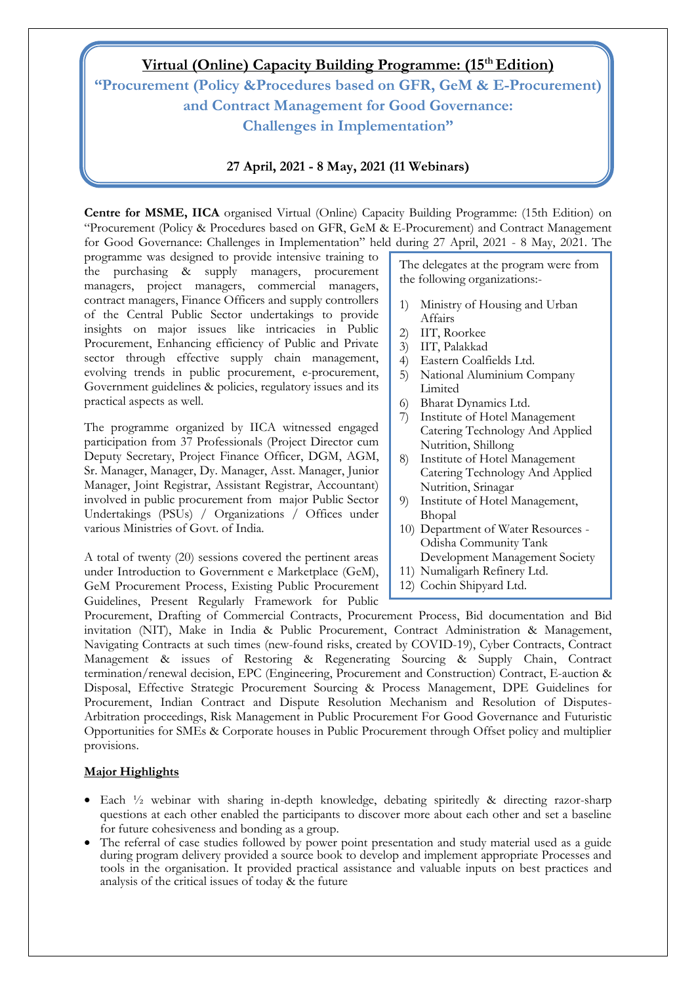## **Virtual (Online) Capacity Building Programme: (15th Edition) "Procurement (Policy &Procedures based on GFR, GeM & E-Procurement) and Contract Management for Good Governance: Challenges in Implementation"**

## **27 April, 2021 - 8 May, 2021 (11 Webinars)**

**Centre for MSME, IICA** organised Virtual (Online) Capacity Building Programme: (15th Edition) on "Procurement (Policy & Procedures based on GFR, GeM & E-Procurement) and Contract Management for Good Governance: Challenges in Implementation" held during 27 April, 2021 - 8 May, 2021. The

programme was designed to provide intensive training to the purchasing & supply managers, procurement managers, project managers, commercial managers, contract managers, Finance Officers and supply controllers of the Central Public Sector undertakings to provide insights on major issues like intricacies in Public Procurement, Enhancing efficiency of Public and Private sector through effective supply chain management, evolving trends in public procurement, e-procurement, Government guidelines & policies, regulatory issues and its practical aspects as well.

The programme organized by IICA witnessed engaged participation from 37 Professionals (Project Director cum Deputy Secretary, Project Finance Officer, DGM, AGM, Sr. Manager, Manager, Dy. Manager, Asst. Manager, Junior Manager, Joint Registrar, Assistant Registrar, Accountant) involved in public procurement from major Public Sector Undertakings (PSUs) / Organizations / Offices under various Ministries of Govt. of India.

A total of twenty (20) sessions covered the pertinent areas under Introduction to Government e Marketplace (GeM), GeM Procurement Process, Existing Public Procurement Guidelines, Present Regularly Framework for Public

The delegates at the program were from the following organizations:-

- 1) Ministry of Housing and Urban Affairs
- 2) IIT, Roorkee
- 3) IIT, Palakkad
- 4) Eastern Coalfields Ltd.
- 5) National Aluminium Company Limited
- 6) Bharat Dynamics Ltd.
- 7) Institute of Hotel Management Catering Technology And Applied Nutrition, Shillong
- 8) Institute of Hotel Management Catering Technology And Applied Nutrition, Srinagar
- 9) Institute of Hotel Management, Bhopal
- 10) Department of Water Resources Odisha Community Tank Development Management Society
- 11) Numaligarh Refinery Ltd.
- 12) Cochin Shipyard Ltd.

Procurement, Drafting of Commercial Contracts, Procurement Process, Bid documentation and Bid invitation (NIT), Make in India & Public Procurement, Contract Administration & Management, Navigating Contracts at such times (new-found risks, created by COVID-19), Cyber Contracts, Contract Management & issues of Restoring & Regenerating Sourcing & Supply Chain, Contract termination/renewal decision, EPC (Engineering, Procurement and Construction) Contract, E-auction & Disposal, Effective Strategic Procurement Sourcing & Process Management, DPE Guidelines for Procurement, Indian Contract and Dispute Resolution Mechanism and Resolution of Disputes-Arbitration proceedings, Risk Management in Public Procurement For Good Governance and Futuristic Opportunities for SMEs & Corporate houses in Public Procurement through Offset policy and multiplier provisions.

## **Major Highlights**

- Each ½ webinar with sharing in-depth knowledge, debating spiritedly & directing razor-sharp questions at each other enabled the participants to discover more about each other and set a baseline for future cohesiveness and bonding as a group.
- The referral of case studies followed by power point presentation and study material used as a guide during program delivery provided a source book to develop and implement appropriate Processes and tools in the organisation. It provided practical assistance and valuable inputs on best practices and analysis of the critical issues of today & the future